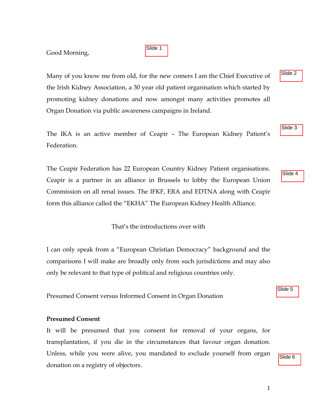## Good Morning,

Many of you know me from old, for the new comers I am the Chief Executive of the Irish Kidney Association, a 30 year old patient organisation which started by promoting kidney donations and now amongst many activities promotes all Organ Donation via public awareness campaigns in Ireland.

Slide 1

The IKA is an active member of Ceapir – The European Kidney Patient's Federation.

The Ceapir Federation has 22 European Country Kidney Patient organisations. Ceapir is a partner in an alliance in Brussels to lobby the European Union Commission on all renal issues. The IFKF, ERA and EDTNA along with Ceapir form this alliance called the "EKHA" The European Kidney Health Alliance.

That's the introductions over with

I can only speak from a "European Christian Democracy" background and the comparisons I will make are broadly only from such jurisdictions and may also only be relevant to that type of political and religious countries only.

Presumed Consent versus Informed Consent in Organ Donation

## **Presumed Consent**

It will be presumed that you consent for removal of your organs, for transplantation, if you die in the circumstances that favour organ donation. Unless, while you were alive, you mandated to exclude yourself from organ donation on a registry of objectors.

Slide 4

Slide 3

Slide 2

Slide 5

Slide 6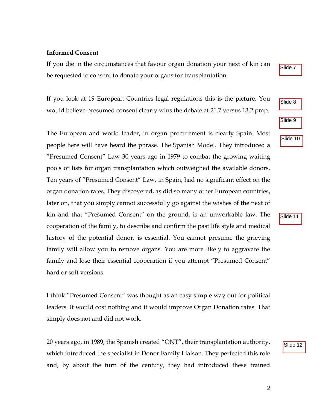## **Informed Consent**

If you die in the circumstances that favour organ donation your next of kin can be requested to consent to donate your organs for transplantation.

If you look at 19 European Countries legal regulations this is the picture. You would believe presumed consent clearly wins the debate at 21.7 versus 13.2 pmp.

The European and world leader, in organ procurement is clearly Spain. Most people here will have heard the phrase. The Spanish Model. They introduced a "Presumed Consent" Law 30 years ago in 1979 to combat the growing waiting pools or lists for organ transplantation which outweighed the available donors. Ten years of "Presumed Consent" Law, in Spain, had no significant effect on the organ donation rates. They discovered, as did so many other European countries, later on, that you simply cannot successfully go against the wishes of the next of kin and that "Presumed Consent" on the ground, is an unworkable law. The cooperation of the family, to describe and confirm the past life style and medical history of the potential donor, is essential. You cannot presume the grieving family will allow you to remove organs. You are more likely to aggravate the family and lose their essential cooperation if you attempt "Presumed Consent" hard or soft versions.

I think "Presumed Consent" was thought as an easy simple way out for political leaders. It would cost nothing and it would improve Organ Donation rates. That simply does not and did not work.

20 years ago, in 1989, the Spanish created "ONT", their transplantation authority, which introduced the specialist in Donor Family Liaison. They perfected this role and, by about the turn of the century, they had introduced these trained



Slide 10

Slide 7

Slide 11 Slide 11<br>Slide 12

Slide 12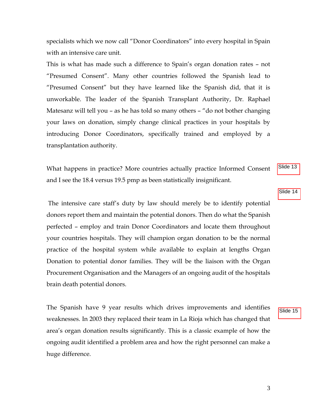specialists which we now call "Donor Coordinators" into every hospital in Spain with an intensive care unit.

This is what has made such a difference to Spain's organ donation rates – not "Presumed Consent". Many other countries followed the Spanish lead to "Presumed Consent" but they have learned like the Spanish did, that it is unworkable. The leader of the Spanish Transplant Authority, Dr. Raphael Matesanz will tell you – as he has told so many others – "do not bother changing your laws on donation, simply change clinical practices in your hospitals by introducing Donor Coordinators, specifically trained and employed by a transplantation authority.

What happens in practice? More countries actually practice Informed Consent and I see the 18.4 versus 19.5 pmp as been statistically insignificant.

 The intensive care staff's duty by law should merely be to identify potential donors report them and maintain the potential donors. Then do what the Spanish perfected – employ and train Donor Coordinators and locate them throughout your countries hospitals. They will champion organ donation to be the normal practice of the hospital system while available to explain at lengths Organ Donation to potential donor families. They will be the liaison with the Organ Procurement Organisation and the Managers of an ongoing audit of the hospitals brain death potential donors.

The Spanish have 9 year results which drives improvements and identifies weaknesses. In 2003 they replaced their team in La Rioja which has changed that area's organ donation results significantly. This is a classic example of how the ongoing audit identified a problem area and how the right personnel can make a huge difference.

Slide 14

Slide 13

Slide 15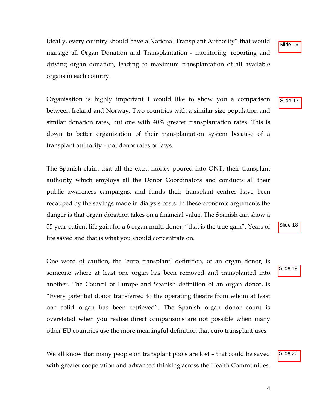Ideally, every country should have a National Transplant Authority" that would manage all Organ Donation and Transplantation - monitoring, reporting and driving organ donation, leading to maximum transplantation of all available organs in each country.

Organisation is highly important I would like to show you a comparison between Ireland and Norway. Two countries with a similar size population and similar donation rates, but one with 40% greater transplantation rates. This is down to better organization of their transplantation system because of a transplant authority – not donor rates or laws.

The Spanish claim that all the extra money poured into ONT, their transplant authority which employs all the Donor Coordinators and conducts all their public awareness campaigns, and funds their transplant centres have been recouped by the savings made in dialysis costs. In these economic arguments the danger is that organ donation takes on a financial value. The Spanish can show a 55 year patient life gain for a 6 organ multi donor, "that is the true gain". Years of life saved and that is what you should concentrate on.

One word of caution, the 'euro transplant' definition, of an organ donor, is someone where at least one organ has been removed and transplanted into another. The Council of Europe and Spanish definition of an organ donor, is "Every potential donor transferred to the operating theatre from whom at least one solid organ has been retrieved". The Spanish organ donor count is overstated when you realise direct comparisons are not possible when many other EU countries use the more meaningful definition that euro transplant uses

We all know that many people on transplant pools are lost – that could be saved with greater cooperation and advanced thinking across the Health Communities. Slide 17

Slide 18

Slide 16<br>Slide 17<br>Slide 19<br>Slide 20 Slide 19